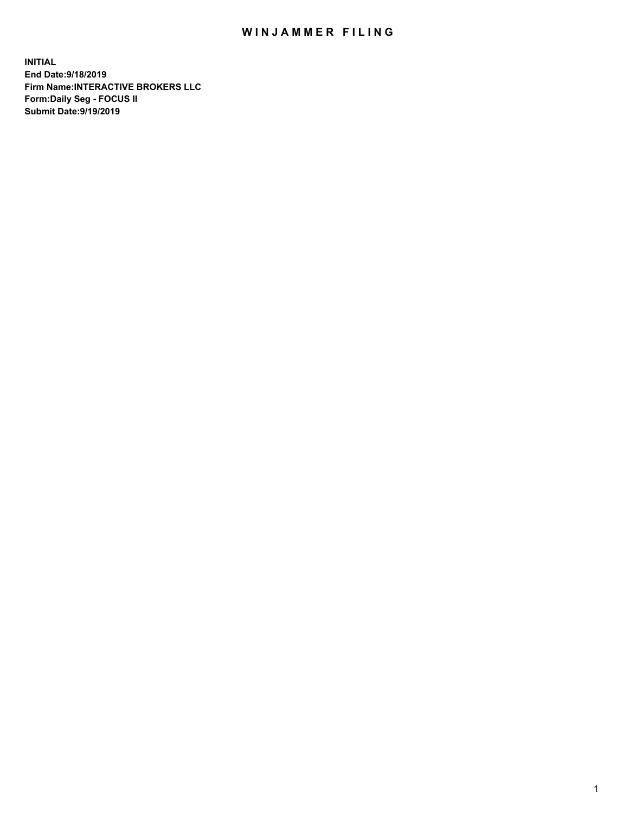## WIN JAMMER FILING

**INITIAL End Date:9/18/2019 Firm Name:INTERACTIVE BROKERS LLC Form:Daily Seg - FOCUS II Submit Date:9/19/2019**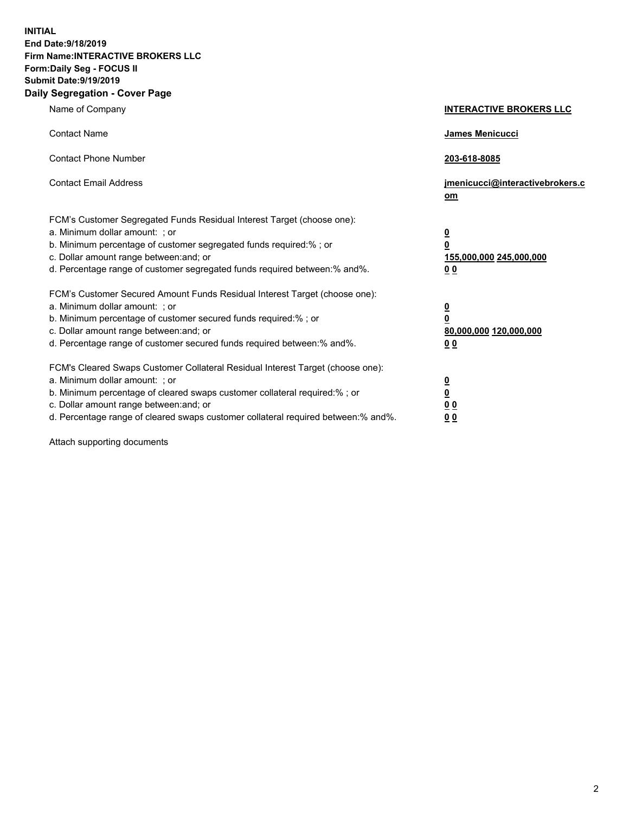**INITIAL End Date:9/18/2019 Firm Name:INTERACTIVE BROKERS LLC Form:Daily Seg - FOCUS II Submit Date:9/19/2019 Daily Segregation - Cover Page**

| Name of Company                                                                                                                                                                                                                                                                                                                | <b>INTERACTIVE BROKERS LLC</b>                                                                  |
|--------------------------------------------------------------------------------------------------------------------------------------------------------------------------------------------------------------------------------------------------------------------------------------------------------------------------------|-------------------------------------------------------------------------------------------------|
| <b>Contact Name</b>                                                                                                                                                                                                                                                                                                            | James Menicucci                                                                                 |
| <b>Contact Phone Number</b>                                                                                                                                                                                                                                                                                                    | 203-618-8085                                                                                    |
| <b>Contact Email Address</b>                                                                                                                                                                                                                                                                                                   | jmenicucci@interactivebrokers.c<br>om                                                           |
| FCM's Customer Segregated Funds Residual Interest Target (choose one):<br>a. Minimum dollar amount: ; or<br>b. Minimum percentage of customer segregated funds required:% ; or<br>c. Dollar amount range between: and; or<br>d. Percentage range of customer segregated funds required between:% and%.                         | $\overline{\mathbf{0}}$<br>$\overline{\mathbf{0}}$<br>155,000,000 245,000,000<br>0 <sub>0</sub> |
| FCM's Customer Secured Amount Funds Residual Interest Target (choose one):<br>a. Minimum dollar amount: ; or<br>b. Minimum percentage of customer secured funds required:% ; or<br>c. Dollar amount range between: and; or<br>d. Percentage range of customer secured funds required between:% and%.                           | $\overline{\mathbf{0}}$<br>0<br>80,000,000 120,000,000<br>0 <sub>0</sub>                        |
| FCM's Cleared Swaps Customer Collateral Residual Interest Target (choose one):<br>a. Minimum dollar amount: ; or<br>b. Minimum percentage of cleared swaps customer collateral required:% ; or<br>c. Dollar amount range between: and; or<br>d. Percentage range of cleared swaps customer collateral required between:% and%. | $\overline{\mathbf{0}}$<br><u>0</u><br>$\underline{0}$ $\underline{0}$<br>00                    |

Attach supporting documents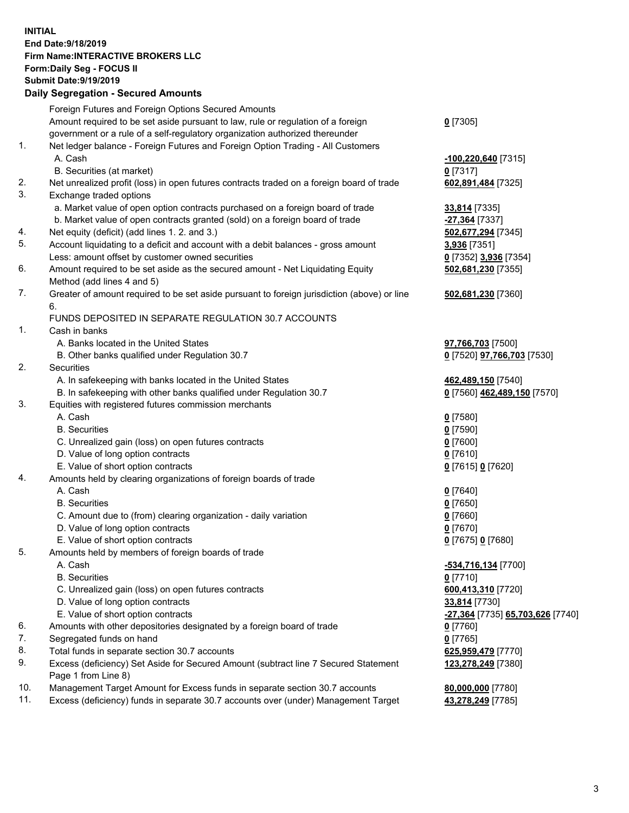## **INITIAL End Date:9/18/2019 Firm Name:INTERACTIVE BROKERS LLC Form:Daily Seg - FOCUS II Submit Date:9/19/2019 Daily Segregation - Secured Amounts**

|     | Daily Segregation - Secured Amounts                                                         |                                                |
|-----|---------------------------------------------------------------------------------------------|------------------------------------------------|
|     | Foreign Futures and Foreign Options Secured Amounts                                         |                                                |
|     | Amount required to be set aside pursuant to law, rule or regulation of a foreign            | $0$ [7305]                                     |
|     | government or a rule of a self-regulatory organization authorized thereunder                |                                                |
| 1.  | Net ledger balance - Foreign Futures and Foreign Option Trading - All Customers             |                                                |
|     | A. Cash                                                                                     | $-100,220,640$ [7315]                          |
|     | B. Securities (at market)                                                                   | $0$ [7317]                                     |
| 2.  | Net unrealized profit (loss) in open futures contracts traded on a foreign board of trade   | 602,891,484 [7325]                             |
| 3.  | Exchange traded options                                                                     |                                                |
|     | a. Market value of open option contracts purchased on a foreign board of trade              | 33,814 [7335]                                  |
|     | b. Market value of open contracts granted (sold) on a foreign board of trade                | -27,364 [7337]                                 |
| 4.  | Net equity (deficit) (add lines 1. 2. and 3.)                                               | 502,677,294 [7345]                             |
| 5.  | Account liquidating to a deficit and account with a debit balances - gross amount           | 3,936 [7351]                                   |
|     | Less: amount offset by customer owned securities                                            | 0 [7352] 3,936 [7354]                          |
| 6.  | Amount required to be set aside as the secured amount - Net Liquidating Equity              | 502,681,230 [7355]                             |
|     | Method (add lines 4 and 5)                                                                  |                                                |
| 7.  | Greater of amount required to be set aside pursuant to foreign jurisdiction (above) or line | 502,681,230 [7360]                             |
|     | 6.                                                                                          |                                                |
|     | FUNDS DEPOSITED IN SEPARATE REGULATION 30.7 ACCOUNTS                                        |                                                |
| 1.  | Cash in banks                                                                               |                                                |
|     | A. Banks located in the United States                                                       | 97,766,703 [7500]                              |
|     | B. Other banks qualified under Regulation 30.7                                              | 0 [7520] <b>97,766,703</b> [7530]              |
| 2.  | <b>Securities</b>                                                                           |                                                |
|     | A. In safekeeping with banks located in the United States                                   | 462,489,150 [7540]                             |
|     | B. In safekeeping with other banks qualified under Regulation 30.7                          | 0 [7560] 462,489,150 [7570]                    |
| 3.  | Equities with registered futures commission merchants                                       |                                                |
|     | A. Cash                                                                                     | $0$ [7580]                                     |
|     | <b>B.</b> Securities                                                                        | $0$ [7590]                                     |
|     | C. Unrealized gain (loss) on open futures contracts                                         | $0$ [7600]                                     |
|     | D. Value of long option contracts                                                           | $0$ [7610]                                     |
| 4.  | E. Value of short option contracts                                                          | 0 [7615] 0 [7620]                              |
|     | Amounts held by clearing organizations of foreign boards of trade<br>A. Cash                |                                                |
|     | <b>B.</b> Securities                                                                        | $0$ [7640]<br>$0$ [7650]                       |
|     | C. Amount due to (from) clearing organization - daily variation                             | $0$ [7660]                                     |
|     | D. Value of long option contracts                                                           | $0$ [7670]                                     |
|     | E. Value of short option contracts                                                          | 0 [7675] 0 [7680]                              |
| 5.  | Amounts held by members of foreign boards of trade                                          |                                                |
|     | A. Cash                                                                                     | -534,716,134 [7700]                            |
|     | <b>B.</b> Securities                                                                        | $0$ [7710]                                     |
|     | C. Unrealized gain (loss) on open futures contracts                                         | 600,413,310 [7720]                             |
|     | D. Value of long option contracts                                                           | 33,814 [7730]                                  |
|     | E. Value of short option contracts                                                          | <u>-27,364</u> [7735] <u>65,703,626</u> [7740] |
| 6.  | Amounts with other depositories designated by a foreign board of trade                      | 0 [7760]                                       |
| 7.  | Segregated funds on hand                                                                    | $0$ [7765]                                     |
| 8.  | Total funds in separate section 30.7 accounts                                               | 625,959,479 [7770]                             |
| 9.  | Excess (deficiency) Set Aside for Secured Amount (subtract line 7 Secured Statement         | 123,278,249 [7380]                             |
|     | Page 1 from Line 8)                                                                         |                                                |
| 10. | Management Target Amount for Excess funds in separate section 30.7 accounts                 | 80,000,000 [7780]                              |
| 11. | Excess (deficiency) funds in separate 30.7 accounts over (under) Management Target          | 43,278,249 [7785]                              |
|     |                                                                                             |                                                |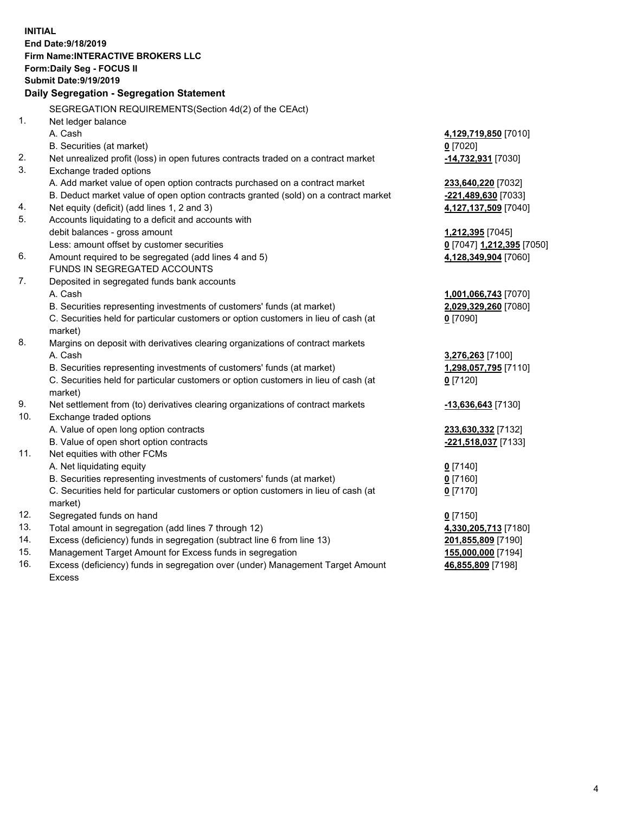**INITIAL End Date:9/18/2019 Firm Name:INTERACTIVE BROKERS LLC Form:Daily Seg - FOCUS II Submit Date:9/19/2019 Daily Segregation - Segregation Statement** SEGREGATION REQUIREMENTS(Section 4d(2) of the CEAct) 1. Net ledger balance A. Cash **4,129,719,850** [7010] B. Securities (at market) **0** [7020] 2. Net unrealized profit (loss) in open futures contracts traded on a contract market **-14,732,931** [7030] 3. Exchange traded options A. Add market value of open option contracts purchased on a contract market **233,640,220** [7032] B. Deduct market value of open option contracts granted (sold) on a contract market **-221,489,630** [7033] 4. Net equity (deficit) (add lines 1, 2 and 3) **4,127,137,509** [7040] 5. Accounts liquidating to a deficit and accounts with debit balances - gross amount **1,212,395** [7045] Less: amount offset by customer securities **0** [7047] **1,212,395** [7050] 6. Amount required to be segregated (add lines 4 and 5) **4,128,349,904** [7060] FUNDS IN SEGREGATED ACCOUNTS 7. Deposited in segregated funds bank accounts A. Cash **1,001,066,743** [7070] B. Securities representing investments of customers' funds (at market) **2,029,329,260** [7080] C. Securities held for particular customers or option customers in lieu of cash (at market) **0** [7090] 8. Margins on deposit with derivatives clearing organizations of contract markets A. Cash **3,276,263** [7100] B. Securities representing investments of customers' funds (at market) **1,298,057,795** [7110] C. Securities held for particular customers or option customers in lieu of cash (at market) **0** [7120] 9. Net settlement from (to) derivatives clearing organizations of contract markets **-13,636,643** [7130] 10. Exchange traded options A. Value of open long option contracts **233,630,332** [7132] B. Value of open short option contracts **-221,518,037** [7133] 11. Net equities with other FCMs A. Net liquidating equity **0** [7140] B. Securities representing investments of customers' funds (at market) **0** [7160] C. Securities held for particular customers or option customers in lieu of cash (at market) **0** [7170] 12. Segregated funds on hand **0** [7150] 13. Total amount in segregation (add lines 7 through 12) **4,330,205,713** [7180] 14. Excess (deficiency) funds in segregation (subtract line 6 from line 13) **201,855,809** [7190] 15. Management Target Amount for Excess funds in segregation **155,000,000** [7194] **46,855,809** [7198]

16. Excess (deficiency) funds in segregation over (under) Management Target Amount Excess